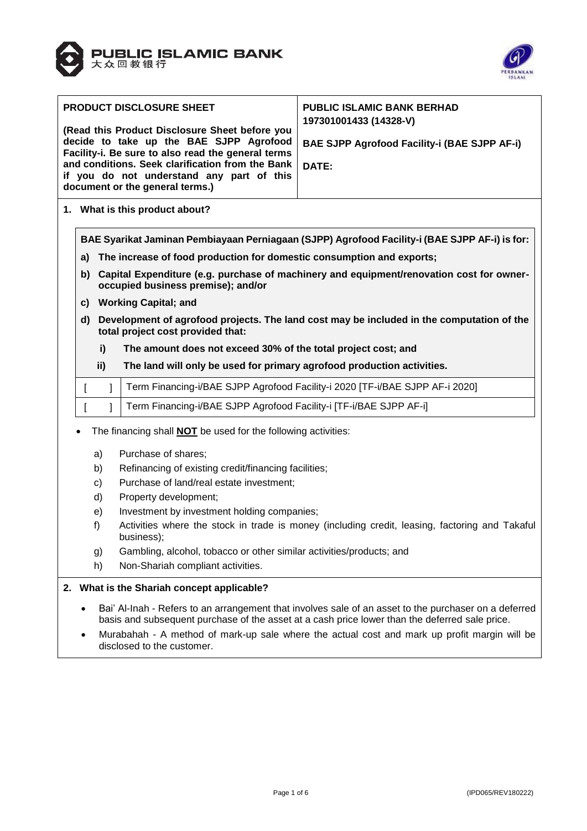



|                                                                                                                                      | <b>PRODUCT DISCLOSURE SHEET</b><br>(Read this Product Disclosure Sheet before you | <b>PUBLIC ISLAMIC BANK BERHAD</b><br>197301001433 (14328-V)<br><b>BAE SJPP Agrofood Facility-i (BAE SJPP AF-i)</b> |                                                                                                                                                                                                         |  |  |  |  |
|--------------------------------------------------------------------------------------------------------------------------------------|-----------------------------------------------------------------------------------|--------------------------------------------------------------------------------------------------------------------|---------------------------------------------------------------------------------------------------------------------------------------------------------------------------------------------------------|--|--|--|--|
|                                                                                                                                      |                                                                                   | decide to take up the BAE SJPP Agrofood<br>Facility-i. Be sure to also read the general terms                      |                                                                                                                                                                                                         |  |  |  |  |
|                                                                                                                                      |                                                                                   | and conditions. Seek clarification from the Bank                                                                   | <b>DATE:</b>                                                                                                                                                                                            |  |  |  |  |
|                                                                                                                                      |                                                                                   | if you do not understand any part of this                                                                          |                                                                                                                                                                                                         |  |  |  |  |
|                                                                                                                                      |                                                                                   | document or the general terms.)                                                                                    |                                                                                                                                                                                                         |  |  |  |  |
|                                                                                                                                      |                                                                                   |                                                                                                                    |                                                                                                                                                                                                         |  |  |  |  |
| 1. What is this product about?                                                                                                       |                                                                                   |                                                                                                                    |                                                                                                                                                                                                         |  |  |  |  |
|                                                                                                                                      |                                                                                   |                                                                                                                    | BAE Syarikat Jaminan Pembiayaan Perniagaan (SJPP) Agrofood Facility-i (BAE SJPP AF-i) is for:                                                                                                           |  |  |  |  |
| a)                                                                                                                                   |                                                                                   | The increase of food production for domestic consumption and exports;                                              |                                                                                                                                                                                                         |  |  |  |  |
| Capital Expenditure (e.g. purchase of machinery and equipment/renovation cost for owner-<br>b)<br>occupied business premise); and/or |                                                                                   |                                                                                                                    |                                                                                                                                                                                                         |  |  |  |  |
|                                                                                                                                      |                                                                                   | c) Working Capital; and                                                                                            |                                                                                                                                                                                                         |  |  |  |  |
| d)                                                                                                                                   |                                                                                   |                                                                                                                    | Development of agrofood projects. The land cost may be included in the computation of the                                                                                                               |  |  |  |  |
|                                                                                                                                      |                                                                                   | total project cost provided that:                                                                                  |                                                                                                                                                                                                         |  |  |  |  |
| i)                                                                                                                                   |                                                                                   | The amount does not exceed 30% of the total project cost; and                                                      |                                                                                                                                                                                                         |  |  |  |  |
| ii)<br>The land will only be used for primary agrofood production activities.                                                        |                                                                                   |                                                                                                                    |                                                                                                                                                                                                         |  |  |  |  |
| Term Financing-i/BAE SJPP Agrofood Facility-i 2020 [TF-i/BAE SJPP AF-i 2020]<br>1<br>$\mathbf{I}$                                    |                                                                                   |                                                                                                                    |                                                                                                                                                                                                         |  |  |  |  |
| Term Financing-i/BAE SJPP Agrofood Facility-i [TF-i/BAE SJPP AF-i]<br>ſ                                                              |                                                                                   |                                                                                                                    |                                                                                                                                                                                                         |  |  |  |  |
| The financing shall <b>NOT</b> be used for the following activities:                                                                 |                                                                                   |                                                                                                                    |                                                                                                                                                                                                         |  |  |  |  |
|                                                                                                                                      | a)                                                                                | Purchase of shares;                                                                                                |                                                                                                                                                                                                         |  |  |  |  |
|                                                                                                                                      | b)                                                                                | Refinancing of existing credit/financing facilities;                                                               |                                                                                                                                                                                                         |  |  |  |  |
|                                                                                                                                      | c)                                                                                | Purchase of land/real estate investment;                                                                           |                                                                                                                                                                                                         |  |  |  |  |
|                                                                                                                                      | d)                                                                                | Property development;                                                                                              |                                                                                                                                                                                                         |  |  |  |  |
|                                                                                                                                      |                                                                                   |                                                                                                                    |                                                                                                                                                                                                         |  |  |  |  |
|                                                                                                                                      | e)                                                                                | Investment by investment holding companies;                                                                        |                                                                                                                                                                                                         |  |  |  |  |
|                                                                                                                                      | f)                                                                                | business);                                                                                                         | Activities where the stock in trade is money (including credit, leasing, factoring and Takaful                                                                                                          |  |  |  |  |
|                                                                                                                                      | g)                                                                                | Gambling, alcohol, tobacco or other similar activities/products; and                                               |                                                                                                                                                                                                         |  |  |  |  |
|                                                                                                                                      | h)                                                                                | Non-Shariah compliant activities.                                                                                  |                                                                                                                                                                                                         |  |  |  |  |
| 2. What is the Shariah concept applicable?                                                                                           |                                                                                   |                                                                                                                    |                                                                                                                                                                                                         |  |  |  |  |
|                                                                                                                                      |                                                                                   |                                                                                                                    | Bai' Al-Inah - Refers to an arrangement that involves sale of an asset to the purchaser on a deferred<br>basis and subsequent purchase of the asset at a cash price lower than the deferred sale price. |  |  |  |  |
| Murabahah - A method of mark-up sale where the actual cost and mark up profit margin will be<br>disclosed to the customer.           |                                                                                   |                                                                                                                    |                                                                                                                                                                                                         |  |  |  |  |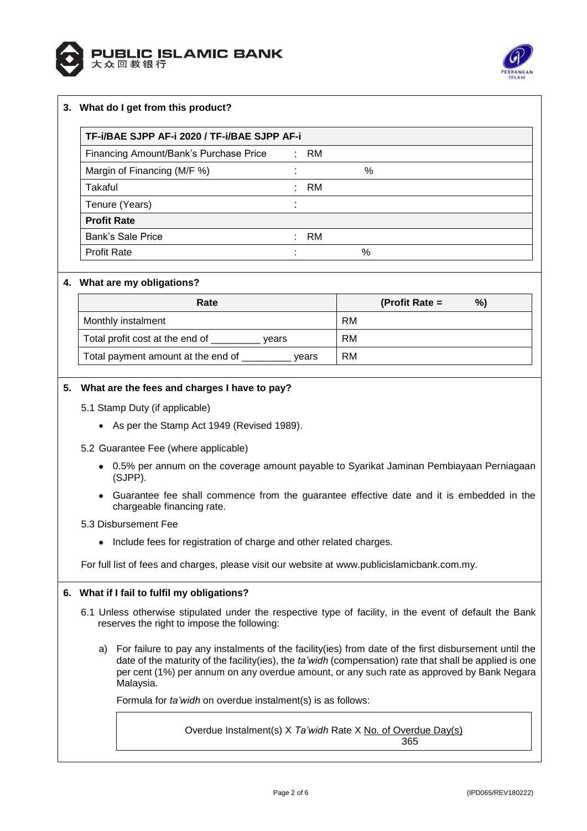



# **3. What do I get from this product?**

| TF-i/BAE SJPP AF-i 2020 / TF-i/BAE SJPP AF-i |  |        |   |  |  |
|----------------------------------------------|--|--------|---|--|--|
| Financing Amount/Bank's Purchase Price       |  | : RM   |   |  |  |
| Margin of Financing (M/F %)                  |  |        | % |  |  |
| Takaful                                      |  | : RM   |   |  |  |
| Tenure (Years)                               |  |        |   |  |  |
| <b>Profit Rate</b>                           |  |        |   |  |  |
| <b>Bank's Sale Price</b>                     |  | $:$ RM |   |  |  |
| <b>Profit Rate</b>                           |  |        | % |  |  |

#### **4. What are my obligations?**

| Rate                                        | %)<br>(Profit Rate $=$ |
|---------------------------------------------|------------------------|
| Monthly instalment                          | <b>RM</b>              |
| Total profit cost at the end of<br>vears    | <b>RM</b>              |
| Total payment amount at the end of<br>vears | RM                     |

## **5. What are the fees and charges I have to pay?**

- 5.1 Stamp Duty (if applicable)
	- As per the Stamp Act 1949 (Revised 1989).
- 5.2 Guarantee Fee (where applicable)
	- 0.5% per annum on the coverage amount payable to Syarikat Jaminan Pembiayaan Perniagaan (SJPP).
	- Guarantee fee shall commence from the guarantee effective date and it is embedded in the chargeable financing rate.

### 5.3 Disbursement Fee

• Include fees for registration of charge and other related charges.

For full list of fees and charges, please visit our website at [www.publicislamicbank.com.my.](http://www.publicislamicbank.com.my/)

#### **6. What if I fail to fulfil my obligations?**

- 6.1 Unless otherwise stipulated under the respective type of facility, in the event of default the Bank reserves the right to impose the following:
	- a) For failure to pay any instalments of the facility(ies) from date of the first disbursement until the date of the maturity of the facility(ies), the *ta'widh* (compensation) rate that shall be applied is one per cent (1%) per annum on any overdue amount, or any such rate as approved by Bank Negara Malaysia.

Formula for *ta'widh* on overdue instalment(s) is as follows:

Overdue Instalment(s) X *Ta'widh* Rate X No. of Overdue Day(s) 365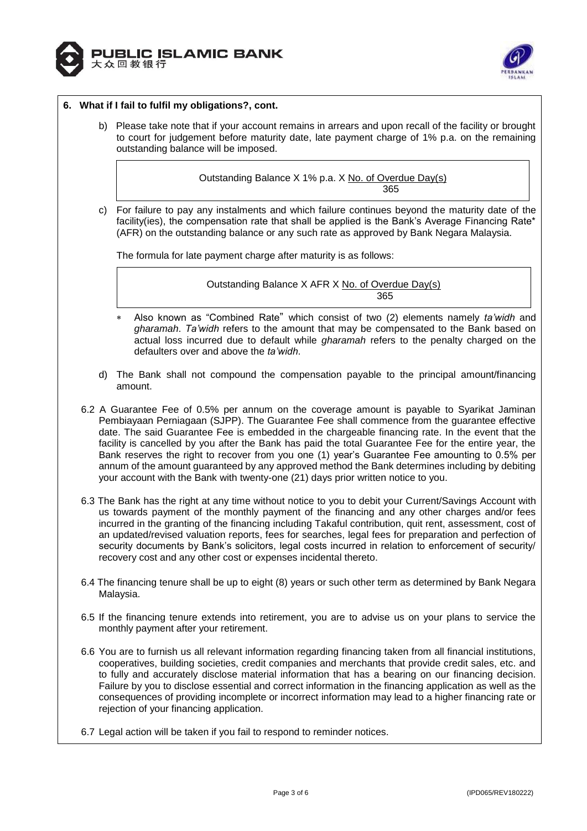



### **6. What if I fail to fulfil my obligations?, cont.**

b) Please take note that if your account remains in arrears and upon recall of the facility or brought to court for judgement before maturity date, late payment charge of 1% p.a. on the remaining outstanding balance will be imposed.

> Outstanding Balance X 1% p.a. X No. of Overdue Day(s) 365

c) For failure to pay any instalments and which failure continues beyond the maturity date of the facility(ies), the compensation rate that shall be applied is the Bank's Average Financing Rate\* (AFR) on the outstanding balance or any such rate as approved by Bank Negara Malaysia.

The formula for late payment charge after maturity is as follows:

Outstanding Balance X AFR X No. of Overdue Day(s) а в село во село во село во село во 1965 година, во 1965 година, постојата на 1965 година, кои 1965 година, по

- Also known as "Combined Rate" which consist of two (2) elements namely *ta'widh* and *gharamah*. *Ta'widh* refers to the amount that may be compensated to the Bank based on actual loss incurred due to default while *gharamah* refers to the penalty charged on the defaulters over and above the *ta'widh*.
- d) The Bank shall not compound the compensation payable to the principal amount/financing amount.
- 6.2 A Guarantee Fee of 0.5% per annum on the coverage amount is payable to Syarikat Jaminan Pembiayaan Perniagaan (SJPP). The Guarantee Fee shall commence from the guarantee effective date. The said Guarantee Fee is embedded in the chargeable financing rate. In the event that the facility is cancelled by you after the Bank has paid the total Guarantee Fee for the entire year, the Bank reserves the right to recover from you one (1) year's Guarantee Fee amounting to 0.5% per annum of the amount guaranteed by any approved method the Bank determines including by debiting your account with the Bank with twenty-one (21) days prior written notice to you.
- 6.3 The Bank has the right at any time without notice to you to debit your Current/Savings Account with us towards payment of the monthly payment of the financing and any other charges and/or fees incurred in the granting of the financing including Takaful contribution, quit rent, assessment, cost of an updated/revised valuation reports, fees for searches, legal fees for preparation and perfection of security documents by Bank's solicitors, legal costs incurred in relation to enforcement of security/ recovery cost and any other cost or expenses incidental thereto.
- 6.4 The financing tenure shall be up to eight (8) years or such other term as determined by Bank Negara Malaysia.
- 6.5 If the financing tenure extends into retirement, you are to advise us on your plans to service the monthly payment after your retirement.
- 6.6 You are to furnish us all relevant information regarding financing taken from all financial institutions, cooperatives, building societies, credit companies and merchants that provide credit sales, etc. and to fully and accurately disclose material information that has a bearing on our financing decision. Failure by you to disclose essential and correct information in the financing application as well as the consequences of providing incomplete or incorrect information may lead to a higher financing rate or rejection of your financing application.
- 6.7 Legal action will be taken if you fail to respond to reminder notices.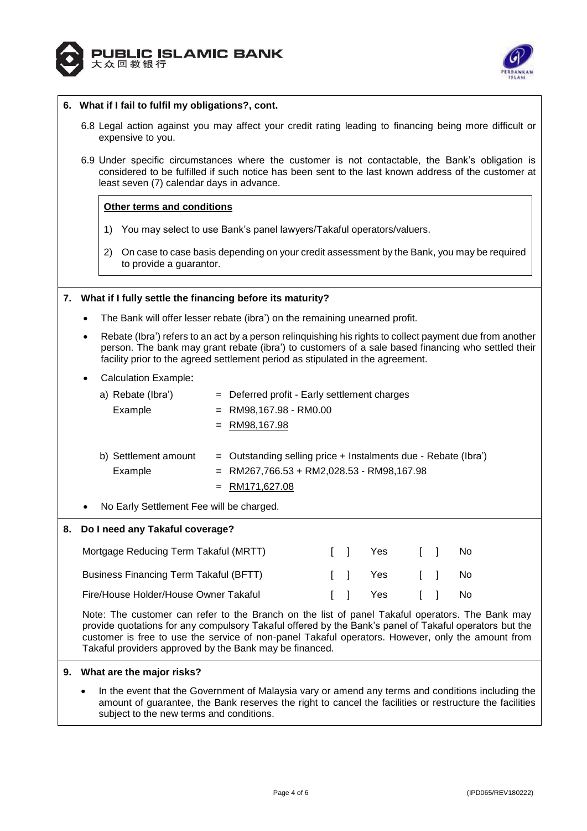



## **6. What if I fail to fulfil my obligations?, cont.**

- 6.8 Legal action against you may affect your credit rating leading to financing being more difficult or expensive to you.
- 6.9 Under specific circumstances where the customer is not contactable, the Bank's obligation is considered to be fulfilled if such notice has been sent to the last known address of the customer at least seven (7) calendar days in advance.

#### **Other terms and conditions**

- 1) You may select to use Bank's panel lawyers/Takaful operators/valuers.
- 2) On case to case basis depending on your credit assessment by the Bank, you may be required to provide a guarantor.

#### **7. What if I fully settle the financing before its maturity?**

- The Bank will offer lesser rebate (ibra') on the remaining unearned profit.
- Rebate (Ibra') refers to an act by a person relinquishing his rights to collect payment due from another person. The bank may grant rebate (ibra') to customers of a sale based financing who settled their facility prior to the agreed settlement period as stipulated in the agreement.

Calculation Example:

|           | a) Rebate (Ibra')                        | $=$ Deferred profit - Early settlement charges                 |
|-----------|------------------------------------------|----------------------------------------------------------------|
|           | Example                                  | $=$ RM98,167.98 - RM0.00                                       |
|           |                                          | $=$ RM98,167.98                                                |
|           |                                          |                                                                |
|           | b) Settlement amount                     | = Outstanding selling price + Instalments due - Rebate (Ibra') |
|           | Example                                  | $=$ RM267,766.53 + RM2,028.53 - RM98,167.98                    |
|           |                                          | $=$ RM171,627.08                                               |
| $\bullet$ | No Early Settlement Fee will be charged. |                                                                |

# **8. Do I need any Takaful coverage?**

| Mortgage Reducing Term Takaful (MRTT)         |  | II Yes         | $\sim$ 1 $\sim$ 1 $\sim$ | - No |
|-----------------------------------------------|--|----------------|--------------------------|------|
| <b>Business Financing Term Takaful (BFTT)</b> |  | [ ] Yes [ ] No |                          |      |
| Fire/House Holder/House Owner Takaful         |  | [ ] Yes [ ] No |                          |      |

Note: The customer can refer to the Branch on the list of panel Takaful operators. The Bank may provide quotations for any compulsory Takaful offered by the Bank's panel of Takaful operators but the customer is free to use the service of non-panel Takaful operators. However, only the amount from Takaful providers approved by the Bank may be financed.

#### **9. What are the major risks?**

 In the event that the Government of Malaysia vary or amend any terms and conditions including the amount of guarantee, the Bank reserves the right to cancel the facilities or restructure the facilities subject to the new terms and conditions.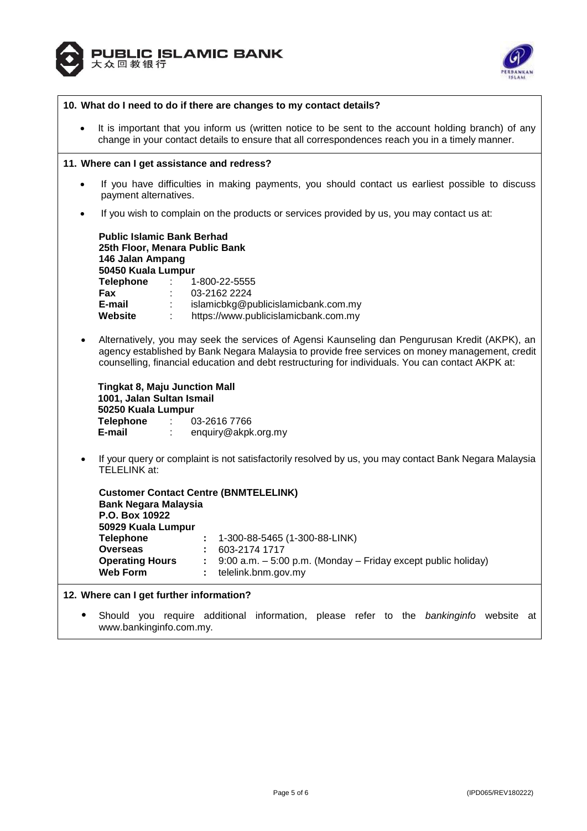



| 10. What do I need to do if there are changes to my contact details? |                                                                                                                                                                                                                                                                                                                                            |  |  |  |  |  |
|----------------------------------------------------------------------|--------------------------------------------------------------------------------------------------------------------------------------------------------------------------------------------------------------------------------------------------------------------------------------------------------------------------------------------|--|--|--|--|--|
| $\bullet$                                                            | It is important that you inform us (written notice to be sent to the account holding branch) of any<br>change in your contact details to ensure that all correspondences reach you in a timely manner.                                                                                                                                     |  |  |  |  |  |
|                                                                      | 11. Where can I get assistance and redress?                                                                                                                                                                                                                                                                                                |  |  |  |  |  |
| $\bullet$                                                            | If you have difficulties in making payments, you should contact us earliest possible to discuss<br>payment alternatives.                                                                                                                                                                                                                   |  |  |  |  |  |
| $\bullet$                                                            | If you wish to complain on the products or services provided by us, you may contact us at:                                                                                                                                                                                                                                                 |  |  |  |  |  |
|                                                                      | <b>Public Islamic Bank Berhad</b><br>25th Floor, Menara Public Bank<br>146 Jalan Ampang<br>50450 Kuala Lumpur<br><b>Telephone</b><br>1-800-22-5555<br>$\sim 100$ km s $^{-1}$<br>Fax<br>03-2162 2224<br>E-mail <b>E</b><br>islamicbkg@publicislamicbank.com.my<br>https://www.publicislamicbank.com.my<br><b>Website :</b>                 |  |  |  |  |  |
| $\bullet$                                                            | Alternatively, you may seek the services of Agensi Kaunseling dan Pengurusan Kredit (AKPK), an<br>agency established by Bank Negara Malaysia to provide free services on money management, credit<br>counselling, financial education and debt restructuring for individuals. You can contact AKPK at:                                     |  |  |  |  |  |
|                                                                      | <b>Tingkat 8, Maju Junction Mall</b><br>1001, Jalan Sultan Ismail<br>50250 Kuala Lumpur<br>Telephone :<br>03-2616 7766<br>E-mail<br>enquiry@akpk.org.my                                                                                                                                                                                    |  |  |  |  |  |
| $\bullet$                                                            | If your query or complaint is not satisfactorily resolved by us, you may contact Bank Negara Malaysia<br><b>TELELINK at:</b>                                                                                                                                                                                                               |  |  |  |  |  |
|                                                                      | <b>Customer Contact Centre (BNMTELELINK)</b><br><b>Bank Negara Malaysia</b><br>P.O. Box 10922<br>50929 Kuala Lumpur<br>1-300-88-5465 (1-300-88-LINK)<br>Telephone<br>603-2174 1717<br><b>Overseas</b><br><b>Operating Hours</b><br>9:00 a.m. - 5:00 p.m. (Monday - Friday except public holiday)<br><b>Web Form</b><br>telelink.bnm.gov.my |  |  |  |  |  |
|                                                                      | 12. Where can I get further information?                                                                                                                                                                                                                                                                                                   |  |  |  |  |  |
|                                                                      | Should you require additional information, please refer to the bankinginfo website at                                                                                                                                                                                                                                                      |  |  |  |  |  |

www.bankinginfo.com.my.